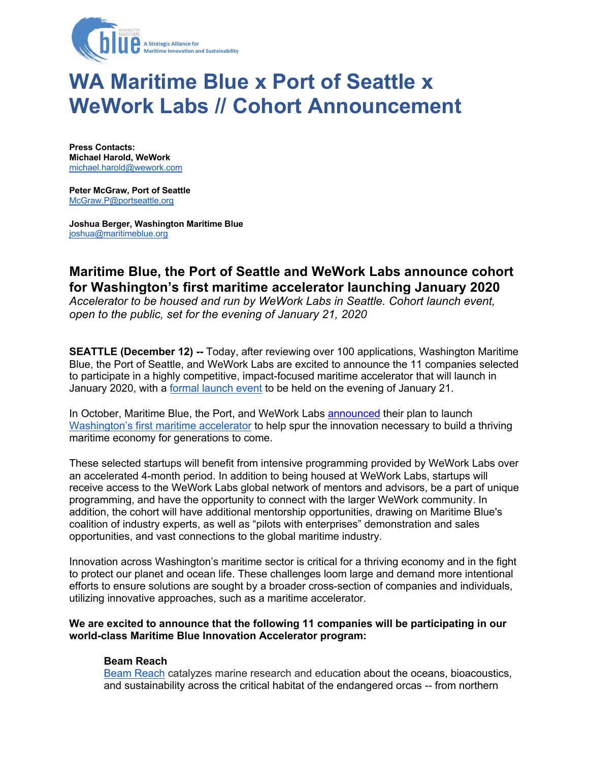

# **WA Maritime Blue x Port of Seattle x WeWork Labs // Cohort Announcement**

**Press Contacts: Michael Harold, WeWork** michael.harold@wework.com

**Peter McGraw, Port of Seattle** McGraw.P@portseattle.org

**Joshua Berger, Washington Maritime Blue** joshua@maritimeblue.org

# **Maritime Blue, the Port of Seattle and WeWork Labs announce cohort for Washington's first maritime accelerator launching January 2020**

*Accelerator to be housed and run by WeWork Labs in Seattle. Cohort launch event, open to the public, set for the evening of January 21, 2020*

**SEATTLE (December 12) --** Today, after reviewing over 100 applications, Washington Maritime Blue, the Port of Seattle, and WeWork Labs are excited to announce the 11 companies selected to participate in a highly competitive, impact-focused maritime accelerator that will launch in January 2020, with a formal launch event to be held on the evening of January 21.

In October, Maritime Blue, the Port, and WeWork Labs announced their plan to launch Washington's first maritime accelerator to help spur the innovation necessary to build a thriving maritime economy for generations to come.

These selected startups will benefit from intensive programming provided by WeWork Labs over an accelerated 4-month period. In addition to being housed at WeWork Labs, startups will receive access to the WeWork Labs global network of mentors and advisors, be a part of unique programming, and have the opportunity to connect with the larger WeWork community. In addition, the cohort will have additional mentorship opportunities, drawing on Maritime Blue's coalition of industry experts, as well as "pilots with enterprises" demonstration and sales opportunities, and vast connections to the global maritime industry.

Innovation across Washington's maritime sector is critical for a thriving economy and in the fight to protect our planet and ocean life. These challenges loom large and demand more intentional efforts to ensure solutions are sought by a broader cross-section of companies and individuals, utilizing innovative approaches, such as a maritime accelerator.

#### **We are excited to announce that the following 11 companies will be participating in our world-class Maritime Blue Innovation Accelerator program:**

#### **Beam Reach**

Beam Reach catalyzes marine research and education about the oceans, bioacoustics, and sustainability across the critical habitat of the endangered orcas -- from northern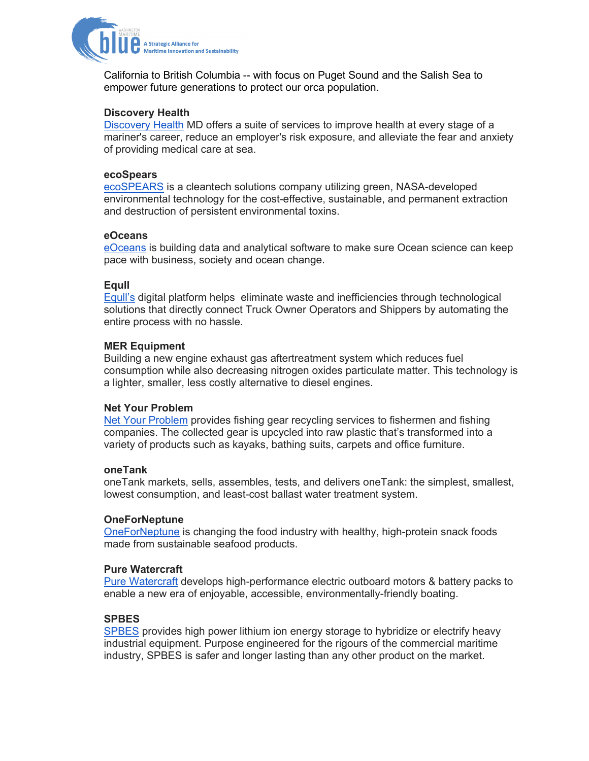

California to British Columbia -- with focus on Puget Sound and the Salish Sea to empower future generations to protect our orca population.

# **Discovery Health**

Discovery Health MD offers a suite of services to improve health at every stage of a mariner's career, reduce an employer's risk exposure, and alleviate the fear and anxiety of providing medical care at sea.

#### **ecoSpears**

ecoSPEARS is a cleantech solutions company utilizing green, NASA-developed environmental technology for the cost-effective, sustainable, and permanent extraction and destruction of persistent environmental toxins.

#### **eOceans**

eOceans is building data and analytical software to make sure Ocean science can keep pace with business, society and ocean change.

#### **Equll**

Equll's digital platform helps eliminate waste and inefficiencies through technological solutions that directly connect Truck Owner Operators and Shippers by automating the entire process with no hassle.

#### **MER Equipment**

Building a new engine exhaust gas aftertreatment system which reduces fuel consumption while also decreasing nitrogen oxides particulate matter. This technology is a lighter, smaller, less costly alternative to diesel engines.

#### **Net Your Problem**

Net Your Problem provides fishing gear recycling services to fishermen and fishing companies. The collected gear is upcycled into raw plastic that's transformed into a variety of products such as kayaks, bathing suits, carpets and office furniture.

#### **oneTank**

oneTank markets, sells, assembles, tests, and delivers oneTank: the simplest, smallest, lowest consumption, and least-cost ballast water treatment system.

#### **OneForNeptune**

OneForNeptune is changing the food industry with healthy, high-protein snack foods made from sustainable seafood products.

#### **Pure Watercraft**

Pure Watercraft develops high-performance electric outboard motors & battery packs to enable a new era of enjoyable, accessible, environmentally-friendly boating.

### **SPBES**

SPBES provides high power lithium ion energy storage to hybridize or electrify heavy industrial equipment. Purpose engineered for the rigours of the commercial maritime industry, SPBES is safer and longer lasting than any other product on the market.